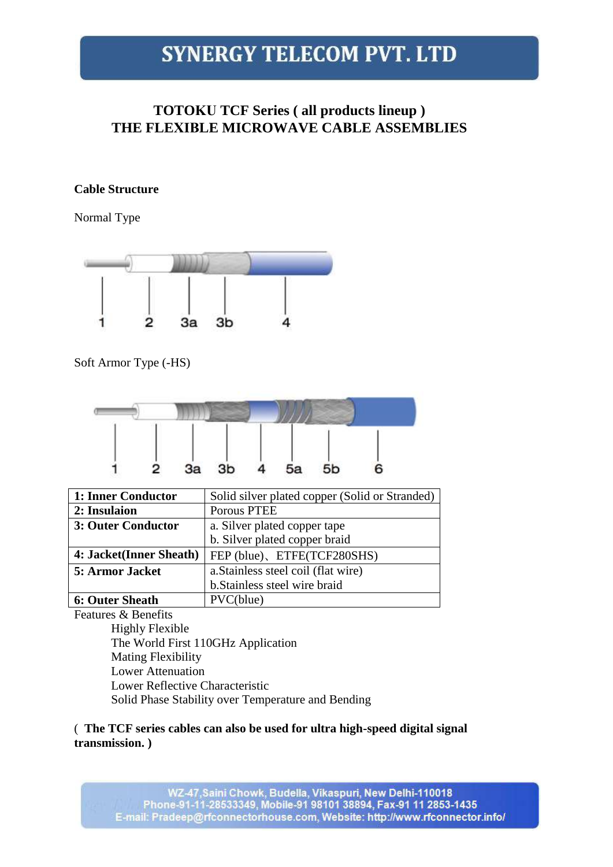### **TOTOKU TCF Series ( all products lineup ) THE FLEXIBLE MICROWAVE CABLE ASSEMBLIES**

#### **Cable Structure**

Normal Type



Soft Armor Type (-HS)



| 1: Inner Conductor      | Solid silver plated copper (Solid or Stranded) |
|-------------------------|------------------------------------------------|
| 2: Insulaion            | Porous PTEE                                    |
| 3: Outer Conductor      | a. Silver plated copper tape                   |
|                         | b. Silver plated copper braid                  |
| 4: Jacket(Inner Sheath) | FEP (blue), ETFE(TCF280SHS)                    |
| 5: Armor Jacket         | a. Stainless steel coil (flat wire)            |
|                         | b. Stainless steel wire braid                  |
| <b>6: Outer Sheath</b>  | PVC(blue)                                      |

Features & Benefits

Highly Flexible The World First 110GHz Application Mating Flexibility Lower Attenuation Lower Reflective Characteristic Solid Phase Stability over Temperature and Bending

### ( **The TCF series cables can also be used for ultra high-speed digital signal transmission. )**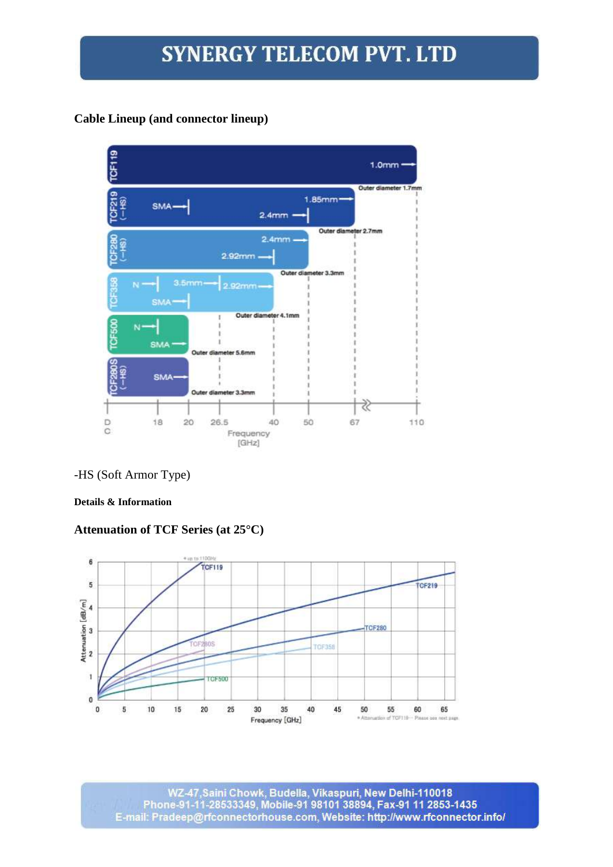### **Cable Lineup (and connector lineup)**



### -HS (Soft Armor Type)

#### **Details & Information**

### **Attenuation of TCF Series (at 25°C)**



WZ-47,Saini Chowk, Budella, Vikaspuri, New Delhi-110018<br>Phone-91-11-28533349, Mobile-91 98101 38894, Fax-91 11 2853-1435 E-mail: Pradeep@rfconnectorhouse.com, Website: http://www.rfconnector.info/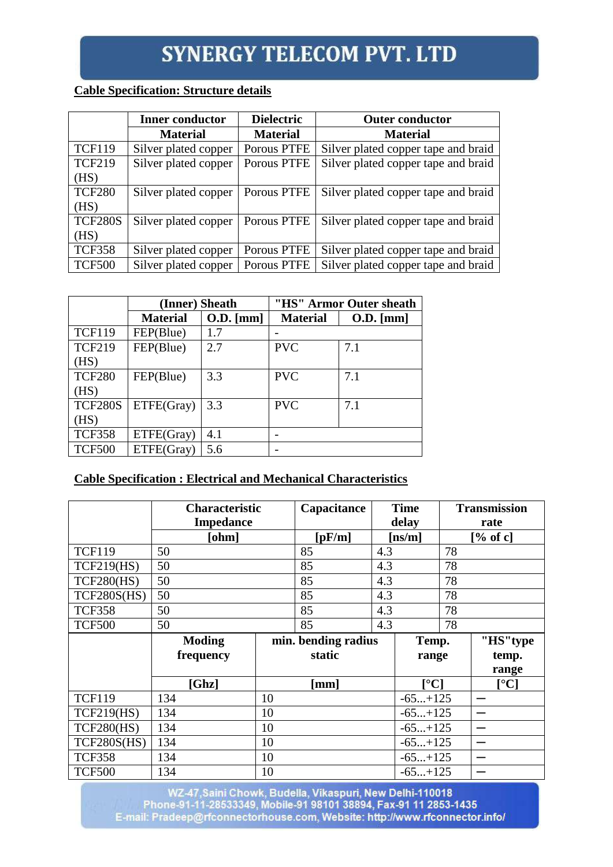### **Cable Specification: Structure details**

|                | <b>Inner conductor</b> | <b>Dielectric</b> | <b>Outer conductor</b>              |
|----------------|------------------------|-------------------|-------------------------------------|
|                | <b>Material</b>        | <b>Material</b>   | <b>Material</b>                     |
| <b>TCF119</b>  | Silver plated copper   | Porous PTFE       | Silver plated copper tape and braid |
| <b>TCF219</b>  | Silver plated copper   | Porous PTFE       | Silver plated copper tape and braid |
| (HS)           |                        |                   |                                     |
| <b>TCF280</b>  | Silver plated copper   | Porous PTFE       | Silver plated copper tape and braid |
| (HS)           |                        |                   |                                     |
| <b>TCF280S</b> | Silver plated copper   | Porous PTFE       | Silver plated copper tape and braid |
| (HS)           |                        |                   |                                     |
| <b>TCF358</b>  | Silver plated copper   | Porous PTFE       | Silver plated copper tape and braid |
| <b>TCF500</b>  | Silver plated copper   | Porous PTFE       | Silver plated copper tape and braid |

|                | (Inner) Sheath  |           | "HS" Armor Outer sheath |           |  |  |
|----------------|-----------------|-----------|-------------------------|-----------|--|--|
|                | <b>Material</b> | O.D. [mm] | <b>Material</b>         | O.D. [mm] |  |  |
| <b>TCF119</b>  | FEP(Blue)       | 1.7       |                         |           |  |  |
| <b>TCF219</b>  | FEP(Blue)       | 2.7       | <b>PVC</b>              | 7.1       |  |  |
| (HS)           |                 |           |                         |           |  |  |
| <b>TCF280</b>  | FEP(Blue)       | 3.3       | <b>PVC</b>              | 7.1       |  |  |
| (HS)           |                 |           |                         |           |  |  |
| <b>TCF280S</b> | ETFE(Gray)      | 3.3       | <b>PVC</b>              | 7.1       |  |  |
| (HS)           |                 |           |                         |           |  |  |
| <b>TCF358</b>  | ETFE(Gray)      | 4.1       |                         |           |  |  |
| <b>TCF500</b>  | ETFE(Gray)      | 5.6       |                         |           |  |  |

### **Cable Specification : Electrical and Mechanical Characteristics**

|                   | <b>Characteristic</b> |    | Capacitance         |        | <b>Time</b>                  | <b>Transmission</b> |                          |  |
|-------------------|-----------------------|----|---------------------|--------|------------------------------|---------------------|--------------------------|--|
|                   | <b>Impedance</b>      |    |                     | delay  |                              | rate                |                          |  |
|                   | [ohm]                 |    | [pF/m]              | [ns/m] |                              | [% of c]            |                          |  |
| <b>TCF119</b>     | 50                    |    | 85                  | 4.3    |                              | 78                  |                          |  |
| <b>TCF219(HS)</b> | 50                    |    | 85                  | 4.3    |                              | 78                  |                          |  |
| <b>TCF280(HS)</b> | 50                    |    | 85                  | 4.3    |                              | 78                  |                          |  |
| TCF280S(HS)       | 50                    |    | 85                  | 4.3    |                              | 78                  |                          |  |
| <b>TCF358</b>     | 50                    |    | 85                  | 4.3    |                              | 78                  |                          |  |
| <b>TCF500</b>     | 50                    |    | 85                  | 4.3    |                              | 78                  |                          |  |
|                   | <b>Moding</b>         |    | min. bending radius |        | Temp.                        |                     | "HS"type                 |  |
|                   | frequency             |    | static              |        | range                        |                     | temp.                    |  |
|                   |                       |    |                     |        |                              |                     | range                    |  |
|                   | [Ghz]                 |    | [mm]                |        | $\mathsf{I}^\circ\mathbf{C}$ |                     | $\lceil$ <sup>o</sup> C] |  |
| <b>TCF119</b>     | 134                   | 10 |                     |        | $-65+125$                    |                     |                          |  |
| <b>TCF219(HS)</b> | 134                   | 10 |                     |        | $-65+125$                    |                     |                          |  |
| <b>TCF280(HS)</b> | 134                   | 10 |                     |        | $-65+125$                    |                     |                          |  |
| TCF280S(HS)       | 134                   | 10 |                     |        | $-65+125$                    |                     |                          |  |
| <b>TCF358</b>     | 134                   | 10 |                     |        | $-65+125$                    |                     |                          |  |
| <b>TCF500</b>     | 134                   | 10 |                     |        | $-65+125$                    |                     |                          |  |

WZ-47, Saini Chowk, Budella, Vikaspuri, New Delhi-110018<br>Phone-91-11-28533349, Mobile-91 98101 38894, Fax-91 11 2853-1435<br>E-mail: Pradeep@rfconnectorhouse.com, Website: http://www.rfconnector.info/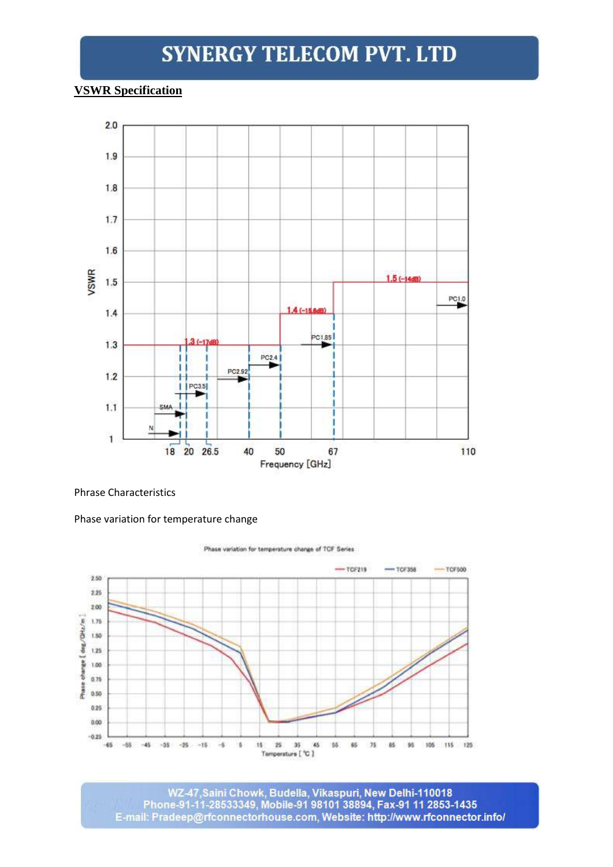#### **VSWR Specification**



#### Phrase Characteristics

#### Phase variation for temperature change



WZ-47, Saini Chowk, Budella, Vikaspuri, New Delhi-110018 Phone-91-11-28533349, Mobile-91 98101 38894, Fax-91 11 2853-1435 E-mail: Pradeep@rfconnectorhouse.com, Website: http://www.rfconnector.info/

Phase variation for temperature change of TCF Series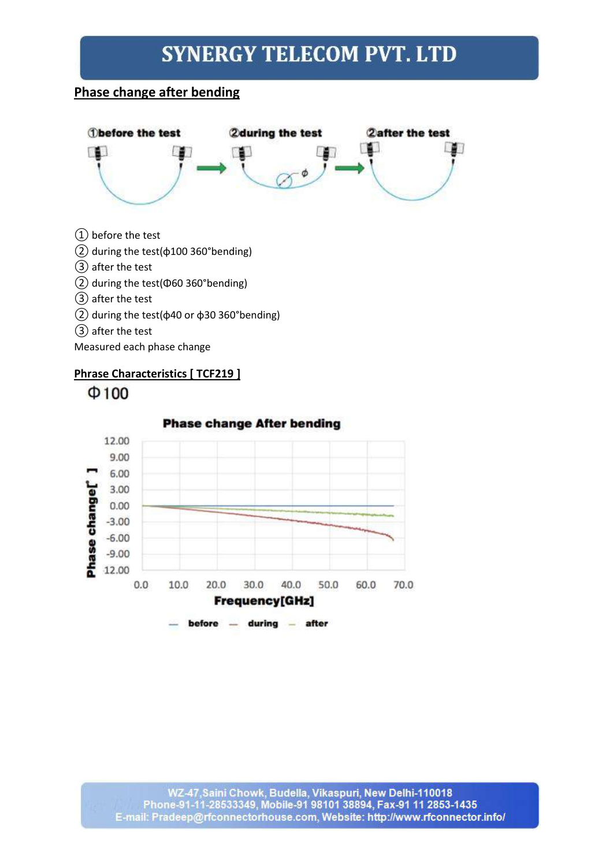### **Phase change after bending**



- ① before the test
- $(2)$  during the test( $\phi$ 100 360°bending)
- ③ after the test
- ② during the test(Φ60 360°bending)
- ③ after the test
- ② during the test(φ40 or φ30 360°bending)
- ③ after the test

Measured each phase change

### **Phrase Characteristics [ TCF219 ]**



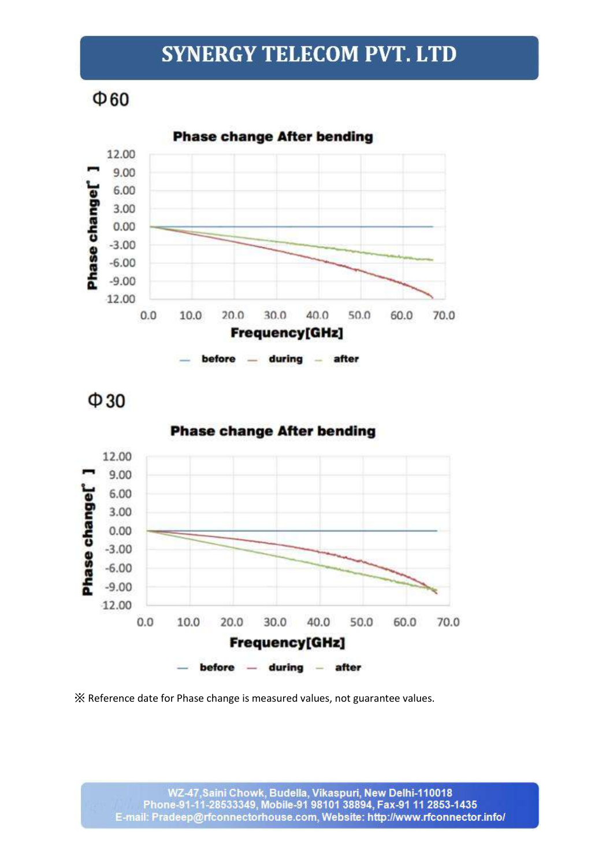$\Phi$ 60



before during - after

 $\Phi$ 30



**Phase change After bending** 

X Reference date for Phase change is measured values, not guarantee values.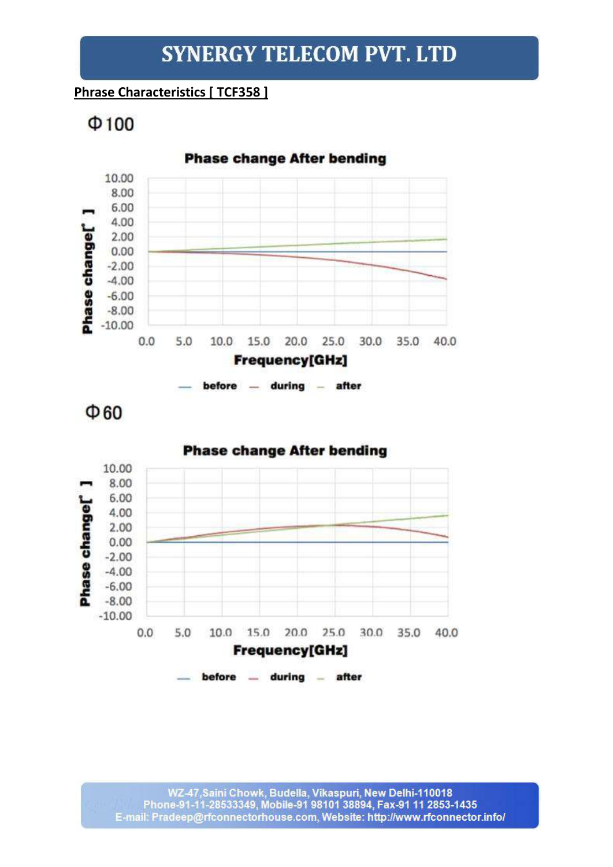### **Phrase Characteristics [ TCF358 ]**

 $\Phi$ 100



before - during - after

 $\Phi$ 60

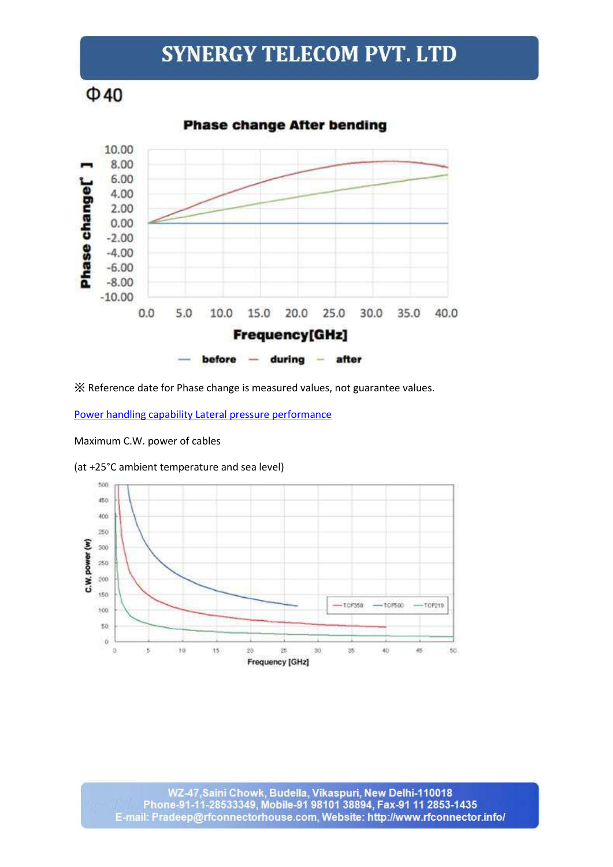$\Phi$ 40



※ Reference date for Phase change is measured values, not guarantee values.

[Power handling capability Lateral pressure performance](http://www.mwrf-solutions.com/products/tcf_series/)

Maximum C.W. power of cables

(at +25°C ambient temperature and sea level)

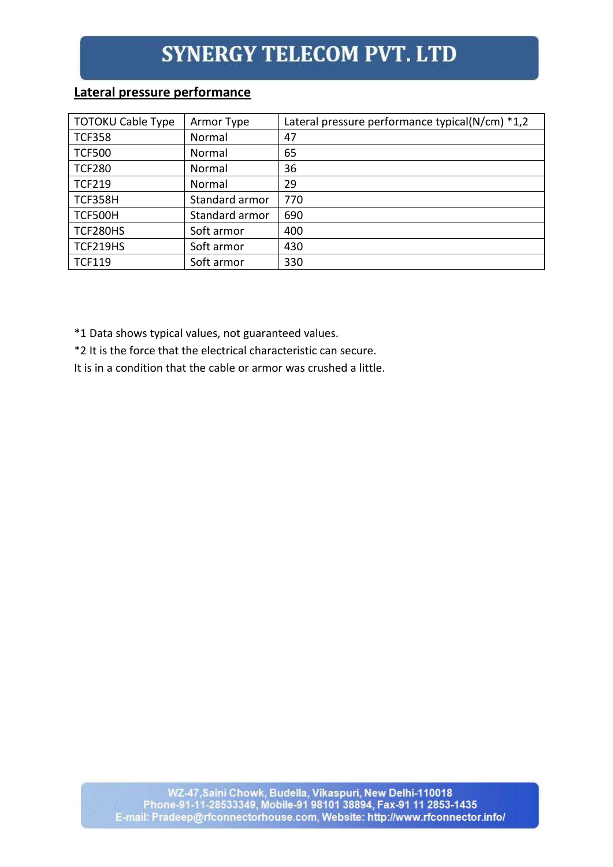### **Lateral pressure performance**

| <b>TOTOKU Cable Type</b> | Armor Type     | Lateral pressure performance typical( $N/cm$ ) *1,2 |
|--------------------------|----------------|-----------------------------------------------------|
| <b>TCF358</b>            | Normal         | 47                                                  |
| <b>TCF500</b>            | Normal         | 65                                                  |
| <b>TCF280</b>            | Normal         | 36                                                  |
| <b>TCF219</b>            | Normal         | 29                                                  |
| <b>TCF358H</b>           | Standard armor | 770                                                 |
| TCF500H                  | Standard armor | 690                                                 |
| TCF280HS                 | Soft armor     | 400                                                 |
| TCF219HS                 | Soft armor     | 430                                                 |
| <b>TCF119</b>            | Soft armor     | 330                                                 |

\*1 Data shows typical values, not guaranteed values.

\*2 It is the force that the electrical characteristic can secure.

It is in a condition that the cable or armor was crushed a little.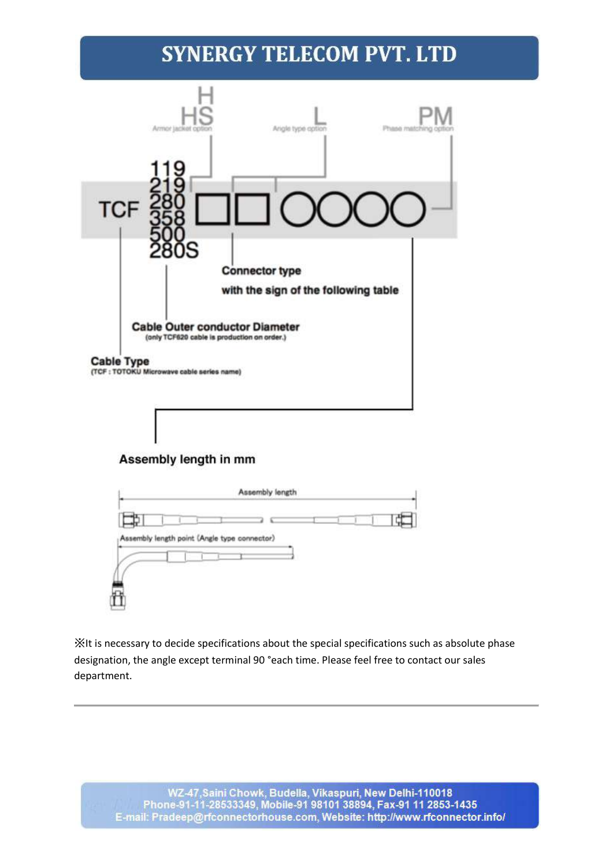

### Assembly length in mm



※It is necessary to decide specifications about the special specifications such as absolute phase designation, the angle except terminal 90 °each time. Please feel free to contact our sales department.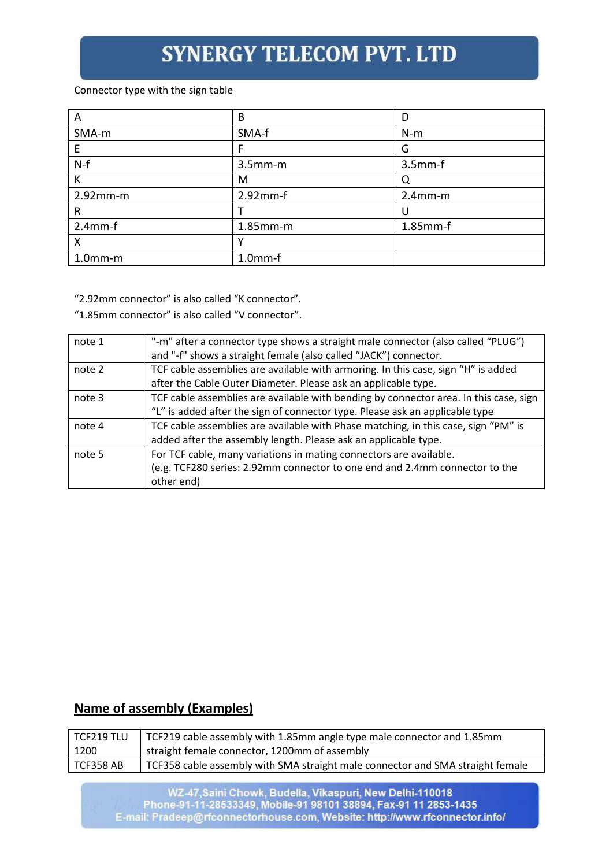#### Connector type with the sign table

| A           | B             |            |
|-------------|---------------|------------|
| SMA-m       | SMA-f         | $N-m$      |
| E           |               | G          |
| $N-f$       | $3.5$ mm $-m$ | $3.5mm-f$  |
| Κ           | M             |            |
| $2.92$ mm-m | $2.92mm-f$    | $2.4$ mm-m |
| R           |               |            |
| $2.4$ mm-f  | $1.85$ mm-m   | 1.85mm-f   |
| Χ           |               |            |
| $1.0mm-m$   | $1.0mm-f$     |            |

"2.92mm connector" is also called "K connector".

"1.85mm connector" is also called "V connector".

| note 1 | "-m" after a connector type shows a straight male connector (also called "PLUG")      |
|--------|---------------------------------------------------------------------------------------|
|        | and "-f" shows a straight female (also called "JACK") connector.                      |
| note 2 | TCF cable assemblies are available with armoring. In this case, sign "H" is added     |
|        | after the Cable Outer Diameter. Please ask an applicable type.                        |
| note 3 | TCF cable assemblies are available with bending by connector area. In this case, sign |
|        | "L" is added after the sign of connector type. Please ask an applicable type          |
| note 4 | TCF cable assemblies are available with Phase matching, in this case, sign "PM" is    |
|        | added after the assembly length. Please ask an applicable type.                       |
| note 5 | For TCF cable, many variations in mating connectors are available.                    |
|        | (e.g. TCF280 series: 2.92mm connector to one end and 2.4mm connector to the           |
|        | other end)                                                                            |

### **Name of assembly (Examples)**

| TCF219 TLU | TCF219 cable assembly with 1.85mm angle type male connector and 1.85mm         |
|------------|--------------------------------------------------------------------------------|
| 1200       | straight female connector, 1200mm of assembly                                  |
| TCF358 AB  | TCF358 cable assembly with SMA straight male connector and SMA straight female |

WZ-47,Saini Chowk, Budella, Vikaspuri, New Delhi-110018<br>Phone-91-11-28533349, Mobile-91 98101 38894, Fax-91 11 2853-1435<br>E-mail: Pradeep@rfconnectorhouse.com, Website: http://www.rfconnector.info/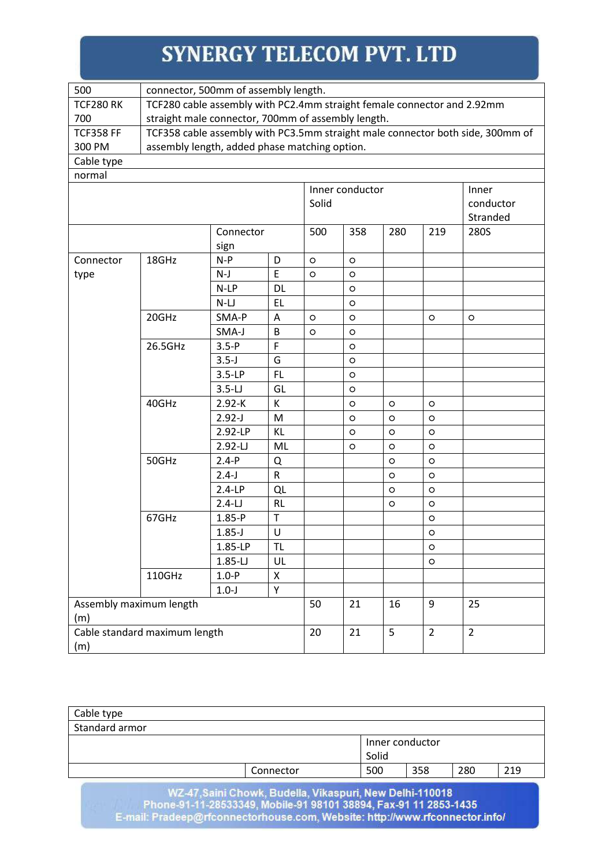| 500                                  | connector, 500mm of assembly length.                                           |            |                    |         |                 |             |                |           |  |
|--------------------------------------|--------------------------------------------------------------------------------|------------|--------------------|---------|-----------------|-------------|----------------|-----------|--|
| <b>TCF280 RK</b>                     | TCF280 cable assembly with PC2.4mm straight female connector and 2.92mm        |            |                    |         |                 |             |                |           |  |
| 700                                  | straight male connector, 700mm of assembly length.                             |            |                    |         |                 |             |                |           |  |
| <b>TCF358 FF</b>                     | TCF358 cable assembly with PC3.5mm straight male connector both side, 300mm of |            |                    |         |                 |             |                |           |  |
| 300 PM                               | assembly length, added phase matching option.                                  |            |                    |         |                 |             |                |           |  |
| Cable type                           |                                                                                |            |                    |         |                 |             |                |           |  |
| normal                               |                                                                                |            |                    |         |                 |             |                |           |  |
|                                      |                                                                                |            |                    |         | Inner conductor |             |                | Inner     |  |
|                                      |                                                                                |            |                    | Solid   |                 |             |                | conductor |  |
|                                      |                                                                                |            |                    |         |                 |             |                | Stranded  |  |
|                                      |                                                                                | Connector  |                    | 500     | 358             | 280         | 219            | 280S      |  |
|                                      |                                                                                | sign       |                    |         |                 |             |                |           |  |
| Connector                            | 18GHz                                                                          | $N-P$      | D                  | $\circ$ | $\circ$         |             |                |           |  |
| type                                 |                                                                                | $N-J$      | E                  | $\circ$ | $\circ$         |             |                |           |  |
|                                      |                                                                                | $N-LP$     | <b>DL</b>          |         | $\circ$         |             |                |           |  |
|                                      |                                                                                | $N-LJ$     | <b>EL</b>          |         | O               |             |                |           |  |
|                                      | 20GHz                                                                          | SMA-P      | A                  | $\circ$ | $\circ$         |             | $\circ$        | $\circ$   |  |
|                                      |                                                                                | SMA-J      | $\sf B$            | $\circ$ | $\circ$         |             |                |           |  |
|                                      | 26.5GHz                                                                        | $3.5-P$    | F                  |         | O               |             |                |           |  |
|                                      |                                                                                | $3.5 - J$  | G                  |         | $\circ$         |             |                |           |  |
|                                      |                                                                                | $3.5-LP$   | <b>FL</b>          |         | $\circ$         |             |                |           |  |
|                                      |                                                                                | $3.5-L$    | GL                 |         | $\circ$         |             |                |           |  |
|                                      | 40GHz                                                                          | $2.92 - K$ | К                  |         | $\circ$         | $\circ$     | $\circ$        |           |  |
|                                      |                                                                                | $2.92 - J$ | M                  |         | $\circ$         | $\circ$     | $\circ$        |           |  |
|                                      |                                                                                | 2.92-LP    | KL                 |         | $\circ$         | $\circ$     | $\circ$        |           |  |
|                                      |                                                                                | $2.92 - L$ | ML                 |         | $\circ$         | $\circ$     | O              |           |  |
|                                      | 50GHz                                                                          | $2.4-P$    | Q                  |         |                 | $\circ$     | $\circ$        |           |  |
|                                      |                                                                                | $2.4-J$    | ${\sf R}$          |         |                 | $\circ$     | $\circ$        |           |  |
|                                      |                                                                                | $2.4-LP$   | QL                 |         |                 | O           | $\circ$        |           |  |
|                                      |                                                                                | $2.4-LJ$   | <b>RL</b>          |         |                 | $\circ$     | $\circ$        |           |  |
|                                      | 67GHz                                                                          | $1.85-P$   | $\top$             |         |                 |             | $\circ$        |           |  |
|                                      |                                                                                | $1.85 - J$ | $\cup$             |         |                 |             | $\circ$        |           |  |
|                                      |                                                                                | 1.85-LP    | TL                 |         |                 |             | $\circ$        |           |  |
|                                      |                                                                                | $1.85-LJ$  | UL                 |         |                 |             | $\circ$        |           |  |
|                                      | 110GHz                                                                         | $1.0-P$    | $\pmb{\mathsf{X}}$ |         |                 |             |                |           |  |
| Y<br>$1.0-J$                         |                                                                                |            |                    |         |                 |             |                |           |  |
| Assembly maximum length<br>(m)       |                                                                                |            | 50                 | 21      | 16              | 9           | 25             |           |  |
| Cable standard maximum length<br>(m) |                                                                                |            | 20                 | 21      | 5               | $2^{\circ}$ | $\overline{2}$ |           |  |

| Cable type     |           |                 |     |     |     |
|----------------|-----------|-----------------|-----|-----|-----|
| Standard armor |           |                 |     |     |     |
|                |           | Inner conductor |     |     |     |
|                |           | Solid           |     |     |     |
|                | Connector | 500             | 358 | 280 | 219 |
|                |           |                 |     |     |     |

WZ-47,Saini Chowk, Budella, Vikaspuri, New Delhi-110018<br>Phone-91-11-28533349, Mobile-91 98101 38894, Fax-91 11 2853-1435<br>E-mail: Pradeep@rfconnectorhouse.com, Website: http://www.rfconnector.info/